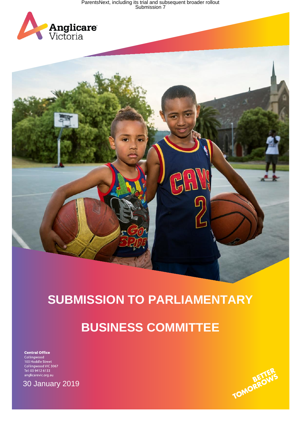ParentsNext, including its trial and subsequent broader rollout<br>Submission 7





# **SUBMISSION TO PARLIAMENTARY**

# **BUSINESS COMMITTEE**

**Central Office** Central Office<br>Collingwood<br>103 Hoddle Street<br>Collingwood VIC 3067<br>Tel: 03 9412 6133 anglicarevic.org.au



30 January 2019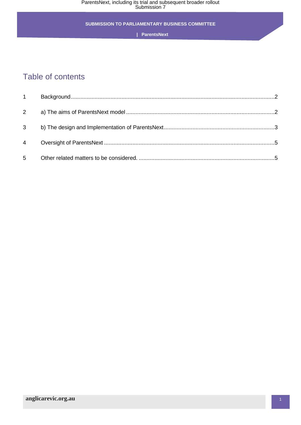#### **SUBMISSION TO PARLIAMENTARY BUSINESS COMMITTEE**

 **| ParentsNext**

# Table of contents

| $1 \quad$      |  |
|----------------|--|
| $2^{\circ}$    |  |
| 3              |  |
| $\overline{4}$ |  |
| 5              |  |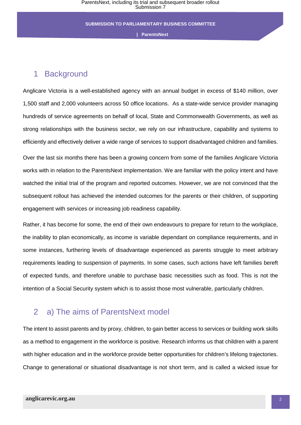## <span id="page-2-0"></span>1 Background

Anglicare Victoria is a well-established agency with an annual budget in excess of \$140 million, over 1,500 staff and 2,000 volunteers across 50 office locations. As a state-wide service provider managing hundreds of service agreements on behalf of local, State and Commonwealth Governments, as well as strong relationships with the business sector, we rely on our infrastructure, capability and systems to efficiently and effectively deliver a wide range of services to support disadvantaged children and families.

Over the last six months there has been a growing concern from some of the families Anglicare Victoria works with in relation to the ParentsNext implementation. We are familiar with the policy intent and have watched the initial trial of the program and reported outcomes. However, we are not convinced that the subsequent rollout has achieved the intended outcomes for the parents or their children, of supporting engagement with services or increasing job readiness capability.

Rather, it has become for some, the end of their own endeavours to prepare for return to the workplace, the inability to plan economically, as income is variable dependant on compliance requirements, and in some instances, furthering levels of disadvantage experienced as parents struggle to meet arbitrary requirements leading to suspension of payments. In some cases, such actions have left families bereft of expected funds, and therefore unable to purchase basic necessities such as food. This is not the intention of a Social Security system which is to assist those most vulnerable, particularly children.

# <span id="page-2-1"></span>2 a) The aims of ParentsNext model

The intent to assist parents and by proxy, children, to gain better access to services or building work skills as a method to engagement in the workforce is positive. Research informs us that children with a parent with higher education and in the workforce provide better opportunities for children's lifelong trajectories. Change to generational or situational disadvantage is not short term, and is called a wicked issue for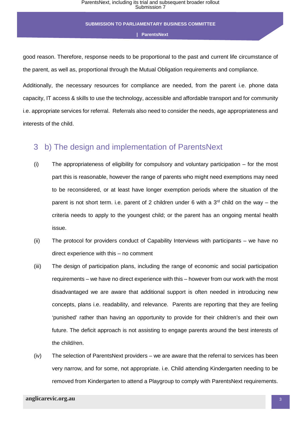good reason. Therefore, response needs to be proportional to the past and current life circumstance of the parent, as well as, proportional through the Mutual Obligation requirements and compliance.

Additionally, the necessary resources for compliance are needed, from the parent i.e. phone data capacity, IT access & skills to use the technology, accessible and affordable transport and for community i.e. appropriate services for referral. Referrals also need to consider the needs, age appropriateness and interests of the child.

### <span id="page-3-0"></span>3 b) The design and implementation of ParentsNext

- (i) The appropriateness of eligibility for compulsory and voluntary participation for the most part this is reasonable, however the range of parents who might need exemptions may need to be reconsidered, or at least have longer exemption periods where the situation of the parent is not short term. i.e. parent of 2 children under 6 with a  $3<sup>rd</sup>$  child on the way – the criteria needs to apply to the youngest child; or the parent has an ongoing mental health issue.
- (ii) The protocol for providers conduct of Capability Interviews with participants we have no direct experience with this – no comment
- (iii) The design of participation plans, including the range of economic and social participation requirements – we have no direct experience with this – however from our work with the most disadvantaged we are aware that additional support is often needed in introducing new concepts, plans i.e. readability, and relevance. Parents are reporting that they are feeling 'punished' rather than having an opportunity to provide for their children's and their own future. The deficit approach is not assisting to engage parents around the best interests of the child/ren.
- (iv) The selection of ParentsNext providers we are aware that the referral to services has been very narrow, and for some, not appropriate. i.e. Child attending Kindergarten needing to be removed from Kindergarten to attend a Playgroup to comply with ParentsNext requirements.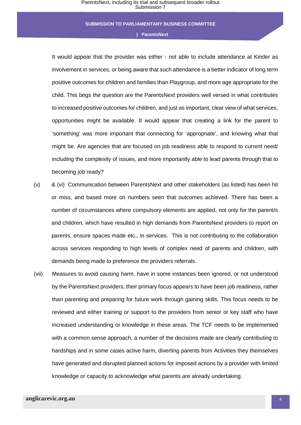It would appear that the provider was either - not able to include attendance at Kinder as involvement in services, or being aware that such attendance is a better indicator of long term positive outcomes for children and families than Playgroup, and more age appropriate for the child. This begs the question are the ParentsNext providers well versed in what contributes to increased positive outcomes for children, and just as important, clear view of what services, opportunities might be available. It would appear that creating a link for the parent to 'something' was more important that connecting for 'appropriate', and knowing what that might be. Are agencies that are focused on job readiness able to respond to current need/ including the complexity of issues, and more importantly able to lead parents through that to becoming job ready?

- (v) & (vi) Communication between ParentsNext and other stakeholders (as listed) has been hit or miss, and based more on numbers seen that outcomes achieved. There has been a number of circumstances where compulsory elements are applied, not only for the parent/s and children, which have resulted in high demands from ParentsNext providers to report on parents, ensure spaces made etc., in services. This is not contributing to the collaboration across services responding to high levels of complex need of parents and children, with demands being made to preference the providers referrals.
- (vii) Measures to avoid causing harm, have in some instances been ignored, or not understood by the ParentsNext providers, their primary focus appears to have been job readiness, rather than parenting and preparing for future work through gaining skills. This focus needs to be reviewed and either training or support to the providers from senior or key staff who have increased understanding or knowledge in these areas. The TCF needs to be implemented with a common sense approach, a number of the decisions made are clearly contributing to hardships and in some cases active harm, diverting parents from Activities they themselves have generated and disrupted planned actions for imposed actions by a provider with limited knowledge or capacity to acknowledge what parents are already undertaking.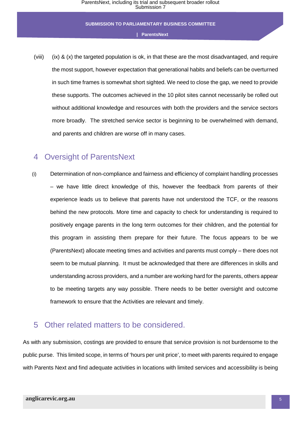(viii) (ix) & (x) the targeted population is ok, in that these are the most disadvantaged, and require the most support, however expectation that generational habits and beliefs can be overturned in such time frames is somewhat short sighted. We need to close the gap, we need to provide these supports. The outcomes achieved in the 10 pilot sites cannot necessarily be rolled out without additional knowledge and resources with both the providers and the service sectors more broadly. The stretched service sector is beginning to be overwhelmed with demand, and parents and children are worse off in many cases.

# <span id="page-5-0"></span>4 Oversight of ParentsNext

(i) Determination of non-compliance and fairness and efficiency of complaint handling processes – we have little direct knowledge of this, however the feedback from parents of their experience leads us to believe that parents have not understood the TCF, or the reasons behind the new protocols. More time and capacity to check for understanding is required to positively engage parents in the long term outcomes for their children, and the potential for this program in assisting them prepare for their future. The focus appears to be we (ParentsNext) allocate meeting times and activities and parents must comply – there does not seem to be mutual planning. It must be acknowledged that there are differences in skills and understanding across providers, and a number are working hard for the parents, others appear to be meeting targets any way possible. There needs to be better oversight and outcome framework to ensure that the Activities are relevant and timely.

### <span id="page-5-1"></span>5 Other related matters to be considered.

As with any submission, costings are provided to ensure that service provision is not burdensome to the public purse. This limited scope, in terms of 'hours per unit price', to meet with parents required to engage with Parents Next and find adequate activities in locations with limited services and accessibility is being